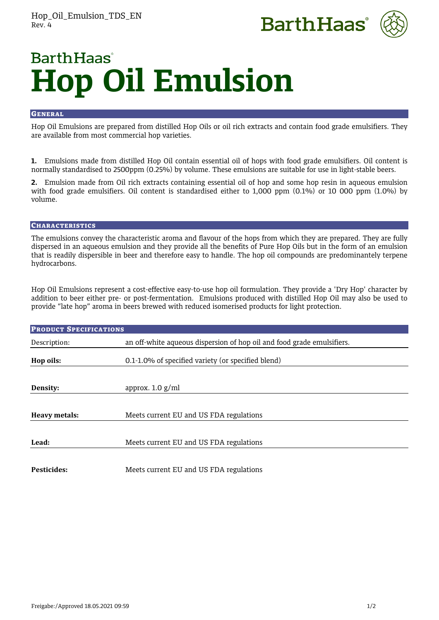



# **BarthHaas Hop Oil Emulsion**

# **GENERAL**

Hop Oil Emulsions are prepared from distilled Hop Oils or oil rich extracts and contain food grade emulsifiers. They are available from most commercial hop varieties.

**1.** Emulsions made from distilled Hop Oil contain essential oil of hops with food grade emulsifiers. Oil content is normally standardised to 2500ppm (0.25%) by volume. These emulsions are suitable for use in light-stable beers.

**2.** Emulsion made from Oil rich extracts containing essential oil of hop and some hop resin in aqueous emulsion with food grade emulsifiers. Oil content is standardised either to 1,000 ppm (0.1%) or 10 000 ppm (1.0%) by volume.

# **CHARACTERISTICS**

The emulsions convey the characteristic aroma and flavour of the hops from which they are prepared. They are fully dispersed in an aqueous emulsion and they provide all the benefits of Pure Hop Oils but in the form of an emulsion that is readily dispersible in beer and therefore easy to handle. The hop oil compounds are predominantely terpene hydrocarbons.

Hop Oil Emulsions represent a cost-effective easy-to-use hop oil formulation. They provide a 'Dry Hop' character by addition to beer either pre- or post-fermentation. Emulsions produced with distilled Hop Oil may also be used to provide "late hop" aroma in beers brewed with reduced isomerised products for light protection.

| <b>PRODUCT SPECIFICATIONS</b> |                                                                        |
|-------------------------------|------------------------------------------------------------------------|
| Description:                  | an off-white aqueous dispersion of hop oil and food grade emulsifiers. |
| Hop oils:                     | 0.1-1.0% of specified variety (or specified blend)                     |
|                               |                                                                        |
| Density:                      | approx. $1.0$ g/ml                                                     |
|                               |                                                                        |
| Heavy metals:                 | Meets current EU and US FDA regulations                                |
|                               |                                                                        |
| Lead:                         | Meets current EU and US FDA regulations                                |
|                               |                                                                        |
| Pesticides:                   | Meets current EU and US FDA regulations                                |